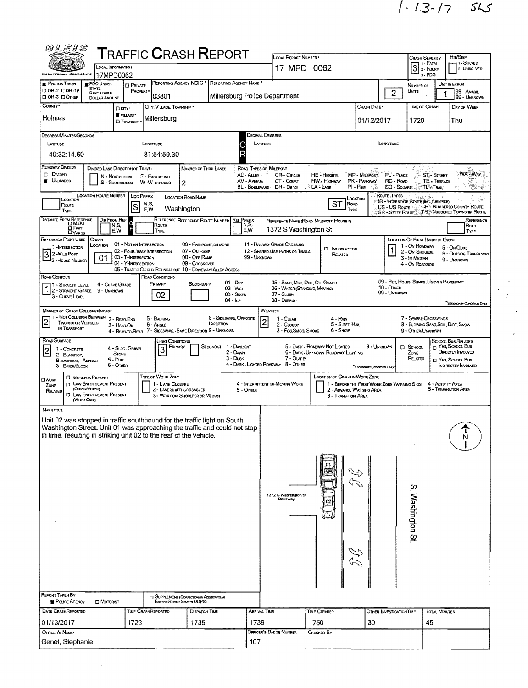$1 - 13 - 17$  545

 $\frac{1}{2} \frac{1}{2} \frac{1}{2}$ 

| <b>@LEIS</b>                                                                                                                                                                                                                                                                                                                                                                                                                                                            |                                                                                                                                                                                                                                                                                                                                                                                  |                                                                                 | <b>T</b> RAFFIC <b>C</b> RASH <b>R</b> EPORT                                  |                        |                                                            |                                                                                                |                                                              |                                          |                                  |                   |                                                          |  |  |  |
|-------------------------------------------------------------------------------------------------------------------------------------------------------------------------------------------------------------------------------------------------------------------------------------------------------------------------------------------------------------------------------------------------------------------------------------------------------------------------|----------------------------------------------------------------------------------------------------------------------------------------------------------------------------------------------------------------------------------------------------------------------------------------------------------------------------------------------------------------------------------|---------------------------------------------------------------------------------|-------------------------------------------------------------------------------|------------------------|------------------------------------------------------------|------------------------------------------------------------------------------------------------|--------------------------------------------------------------|------------------------------------------|----------------------------------|-------------------|----------------------------------------------------------|--|--|--|
| <b>LOCAL INFORMATION</b>                                                                                                                                                                                                                                                                                                                                                                                                                                                |                                                                                                                                                                                                                                                                                                                                                                                  |                                                                                 |                                                                               |                        | LOCAL REPORT NUMBER .                                      |                                                                                                | HIT/SKIP<br><b>CRASH SEVERITY</b><br>1-SOLVED<br>8 1 - Fatal |                                          |                                  |                   |                                                          |  |  |  |
| 17MPD0062<br>Chie Lew Cofergement latermative Exeten                                                                                                                                                                                                                                                                                                                                                                                                                    |                                                                                                                                                                                                                                                                                                                                                                                  |                                                                                 |                                                                               |                        | 17 MPD 0062                                                |                                                                                                | $3$ 2- INJURY<br>2. UNSOLVED<br>3-PDO                        |                                          |                                  |                   |                                                          |  |  |  |
| <b>PHOTOS TAKEN</b><br>PDO UNDER<br><b>STATE</b><br>D OH -2 DOH -1P                                                                                                                                                                                                                                                                                                                                                                                                     | <b>D</b> PRIVATE                                                                                                                                                                                                                                                                                                                                                                 | REPORTING AGENCY NCIC <sup>*</sup>                                              | REPORTING AGENCY NAME                                                         |                        |                                                            | NUMBER OF                                                                                      |                                                              | UNIT IN ERROR                            |                                  |                   |                                                          |  |  |  |
| REPORTABLE<br>ПОН-З ПОТНЕР<br><b>DOLLAR AMOUNT</b>                                                                                                                                                                                                                                                                                                                                                                                                                      | PROPERTY                                                                                                                                                                                                                                                                                                                                                                         | 03801                                                                           | UNITS                                                                         |                        | 98 - Animal<br>99 - UNKNOWN                                |                                                                                                |                                                              |                                          |                                  |                   |                                                          |  |  |  |
| COUNTY .<br>Darr·                                                                                                                                                                                                                                                                                                                                                                                                                                                       | <b>TIME OF CRASH</b>                                                                                                                                                                                                                                                                                                                                                             |                                                                                 | DAY OF WEEK                                                                   |                        |                                                            |                                                                                                |                                                              |                                          |                                  |                   |                                                          |  |  |  |
| VILLAGE*<br>Holmes<br><b>D</b> TOWNSHIP                                                                                                                                                                                                                                                                                                                                                                                                                                 | 01/12/2017                                                                                                                                                                                                                                                                                                                                                                       |                                                                                 | 1720                                                                          |                        | Thu                                                        |                                                                                                |                                                              |                                          |                                  |                   |                                                          |  |  |  |
| DEGREES/MINUTES/SECONDS                                                                                                                                                                                                                                                                                                                                                                                                                                                 |                                                                                                                                                                                                                                                                                                                                                                                  |                                                                                 |                                                                               | <b>DECIMAL DEGREES</b> |                                                            |                                                                                                |                                                              |                                          |                                  |                   |                                                          |  |  |  |
| LATITUDE<br>40:32:14.60                                                                                                                                                                                                                                                                                                                                                                                                                                                 | LONGITUDE                                                                                                                                                                                                                                                                                                                                                                        | 81:54:59.30                                                                     |                                                                               | LATITUDE<br>R          |                                                            |                                                                                                |                                                              | LONGITUDE                                |                                  |                   |                                                          |  |  |  |
| ROADWAY DIVISION                                                                                                                                                                                                                                                                                                                                                                                                                                                        | DIVIDED LANE DIRECTION OF TRAVEL                                                                                                                                                                                                                                                                                                                                                 |                                                                                 | NUMBER OF THRU LANES                                                          | ROAD TYPES OR MILEPOST |                                                            |                                                                                                |                                                              |                                          |                                  |                   |                                                          |  |  |  |
| D DWDED<br><b>UNDIVIDED</b>                                                                                                                                                                                                                                                                                                                                                                                                                                             | :WA Way<br>MP - MiLEPOST<br>AL'-ALLEY<br><b>HE</b> - Hergarts<br>PL-PLACE<br><b>ST-STREET</b><br><b>CR-CIRCLE</b><br>E - EASTBOUND<br>N - NORTHBOUND<br>AV - AVENUE<br>CT - Count<br>RD - Roap<br>TE - TERRACE<br>HW - Highway<br>PK - PARKWAY<br>S - SOUTHBOUND<br>W -WESTBOUND<br>2<br>BL - BOULEVARD<br>SQ - SQUARE : : TL's TRAIL<br>DR - Dane<br>$PI - P$ ike<br>⊹LA - Lane |                                                                                 |                                                                               |                        |                                                            |                                                                                                |                                                              |                                          |                                  |                   |                                                          |  |  |  |
| LOCATION ROUTE NUMBER<br>Route Types<br>LOC PREFIX<br>LOCATION ROAD NAME<br>$4 + 6 + 2$<br>LOCATION<br>LOCATION<br>IR - INTERSTATE ROUTE (INC. TURNPIKE)<br>ST<br>ROAD<br>N.S.<br>Route                                                                                                                                                                                                                                                                                 |                                                                                                                                                                                                                                                                                                                                                                                  |                                                                                 |                                                                               |                        |                                                            |                                                                                                |                                                              |                                          |                                  |                   |                                                          |  |  |  |
| S<br>US .- US Route : CP CR - NUMBERED COUNTY ROUTE<br>Washington<br>E.W<br>TYPE<br>TYPE<br>SR - STATE ROUTE TR - NUMBERED TOWNSHIP ROUTE                                                                                                                                                                                                                                                                                                                               |                                                                                                                                                                                                                                                                                                                                                                                  |                                                                                 |                                                                               |                        |                                                            |                                                                                                |                                                              |                                          |                                  |                   |                                                          |  |  |  |
| DISTANCE FROM REFERENCE<br>DIR FROM REF<br>REFERENCE REFERENCE ROUTE NUMBER<br><b>REF PREFIX</b><br>REFERENCE<br>REFERENCE NAME (ROAD, MILEPOST, HOUSE #)<br>N,S,<br>Route<br>N,S,<br>E.W<br>ROAD<br><b>OFEET</b><br>E.W<br>1372 S Washington St<br>TYPE<br>TYPE                                                                                                                                                                                                        |                                                                                                                                                                                                                                                                                                                                                                                  |                                                                                 |                                                                               |                        |                                                            |                                                                                                |                                                              |                                          |                                  |                   |                                                          |  |  |  |
| $\Box$ YARDS<br>REFERENCE POINT USED<br><b>CRASH</b>                                                                                                                                                                                                                                                                                                                                                                                                                    | 01 - NOT AN INTERSECTION                                                                                                                                                                                                                                                                                                                                                         |                                                                                 | 06 - FIVE-POINT, OR MORE                                                      |                        | 11 - RAILWAY GRADE CROSSING                                |                                                                                                |                                                              |                                          | LOCATION OF FIRST HARMFUL EVENT  |                   |                                                          |  |  |  |
| LOCATION<br>1 INTERSECTION<br>3 2 - MILE POST                                                                                                                                                                                                                                                                                                                                                                                                                           | 02 - FOUR-WAY INTERSECTION<br>03 - T-INTERSECTION                                                                                                                                                                                                                                                                                                                                |                                                                                 | 07 - On RAMP<br>08 - Off RAMP                                                 | 99 - Unxnown           | 12 - SHARED-USE PATHS OR TRAILS                            | <b>D</b> INTERSECTION<br>RELATED                                                               |                                                              |                                          | 1 - On ROADWAY<br>2 - On Shoulde |                   | 5 - On Gore<br><b>6 - OUTSIDE TRAFFICWAY</b>             |  |  |  |
| 01<br>- 3 - House Number                                                                                                                                                                                                                                                                                                                                                                                                                                                | 04 - Y-INTERSECTION                                                                                                                                                                                                                                                                                                                                                              |                                                                                 | 09 - CROSSOVER<br>05 - TRAFFIC CIRCLE/ ROUNDABOUT 10 - DRIVEWAY/ ALLEY ACCESS |                        |                                                            |                                                                                                |                                                              |                                          | 3 - In MEDIAN<br>4 - On Roadside |                   | 9 - UNKNOWN                                              |  |  |  |
| Road Contour                                                                                                                                                                                                                                                                                                                                                                                                                                                            |                                                                                                                                                                                                                                                                                                                                                                                  | ROAD CONDITIONS                                                                 | $01 - \text{Day}$                                                             |                        | 05 - SAND, MUD, DIRT, OIL, GRAVEL                          |                                                                                                |                                                              | 09 - RUT, HOLES, BUMPS, UNEVEN PAVEMENT* |                                  |                   |                                                          |  |  |  |
| 4 - CURVE GRADE<br>1 - STRAIGHT LEVEL<br>1 2 - STRAIGHT GRADE 9 - UNKNOWN<br>3 - CURVE LEVEL                                                                                                                                                                                                                                                                                                                                                                            |                                                                                                                                                                                                                                                                                                                                                                                  | PRIMARY<br>02                                                                   | SECONDARY<br>02 - Wer<br>$03 -$ SNOW<br>$04 -$ Ice                            |                        | 06 - WATER (STANDING, MOVING)<br>07 - SLUSH<br>08 - DEBRIS |                                                                                                |                                                              | 10 - Откев<br>99 - Unknown               |                                  |                   |                                                          |  |  |  |
| <b>MANNER OF CRASH COLLISION/IMPACT</b>                                                                                                                                                                                                                                                                                                                                                                                                                                 |                                                                                                                                                                                                                                                                                                                                                                                  |                                                                                 |                                                                               |                        | WEATHER                                                    |                                                                                                |                                                              |                                          |                                  |                   | "SECONDARY CONDITION ONLY                                |  |  |  |
| 1 - NOT COLLISION BETWEEN<br>8 - Sideswipe, Opposite<br>7 - SEVERE CROSSWINDS<br>2 - REAR-END<br>5 - BACKING<br>1 - CLEAR<br>4 - RAIN<br>$\overline{\mathbf{c}}$<br>$\overline{2}$<br><b>TWO MOTOR VEHICLES</b><br>DIRECTION<br>5 - SLEET HAIL<br>8 - BLOWING SAND, SOIL, DIRT, SNOW<br>6 - Angle<br>2 - CLOUDY<br>3 - HEAD-ON<br>IN TRANSPORT<br>4 - REAR-TO-REAR 7 - SIDESWIPE, - SAME DIRECTION 9 - UNKNOWN<br>3 - Fog, SMOG, SMOKE<br>6 - Snow<br>9 - OTHER/UNKNOWN |                                                                                                                                                                                                                                                                                                                                                                                  |                                                                                 |                                                                               |                        |                                                            |                                                                                                |                                                              |                                          |                                  |                   |                                                          |  |  |  |
| ROAD SURFACE                                                                                                                                                                                                                                                                                                                                                                                                                                                            | SCHOOL BUS RELATED<br><b>LIGHT CONDITIONS</b><br><sup>2</sup> Yes, School, Bus<br>9 - UNKNOWN<br>1 - DAYLIGHT<br>5 - DARK - ROADWAY NOT LIGHTED<br>PRIMARY<br>SECONDAR<br><b>D</b> School                                                                                                                                                                                        |                                                                                 |                                                                               |                        |                                                            |                                                                                                |                                                              |                                          |                                  |                   |                                                          |  |  |  |
| 1 - CONCRETE<br>2<br><b>STONE</b><br>2 - BLACKTOP,                                                                                                                                                                                                                                                                                                                                                                                                                      | 4 - SLAG, GRAVEL                                                                                                                                                                                                                                                                                                                                                                 | 3                                                                               | 2 - DAWN<br>$3 - D$ USK                                                       |                        | 7 - GLARE*                                                 | 6 - DARK - UNKNOWN ROADWAY LIGHTING                                                            |                                                              |                                          | ZONE<br>RELATED                  |                   | DIRECTLY INVOLVED                                        |  |  |  |
| $5 - D$<br><b>BITUMINOUS, ASPHALT</b><br>$6 -$ Othen<br>3 - BRICK/BLOCK                                                                                                                                                                                                                                                                                                                                                                                                 |                                                                                                                                                                                                                                                                                                                                                                                  |                                                                                 |                                                                               |                        | 4 - DARK - LIGHTED ROADWAY 8 - OTHER                       |                                                                                                | "SECONDARY CONDITION ONLY                                    |                                          |                                  |                   | <b>D</b> Yes, Scribble Bus<br><b>INDIRECTLY INVOLVED</b> |  |  |  |
| <b>CI WORKERS PRESENT</b><br><b>OWORK</b>                                                                                                                                                                                                                                                                                                                                                                                                                               |                                                                                                                                                                                                                                                                                                                                                                                  | TYPE OF WORK ZONE                                                               |                                                                               |                        |                                                            | LOCATION OF CRASH IN WORK ZONE                                                                 |                                                              |                                          |                                  |                   |                                                          |  |  |  |
| <b>D</b> LAW ENFORCEMENT PRESENT<br>ZONE<br>(OFFICEW VENCLE)<br>RELATED<br><b>C LAW ENFORCEMENT PRESENT</b><br>(VEHOLEONLY)                                                                                                                                                                                                                                                                                                                                             |                                                                                                                                                                                                                                                                                                                                                                                  | 1 - LANE CLOSURE<br>2 - LANE SHIFT/ CROSSOVER<br>3 - WORK ON SHOULDER OR MEDIAN |                                                                               | 5 - OTHER              | 4 - INTERMITTENT OR MOVING WORK                            | 1 - BEFORE THE FIRST WORK ZONE WARNING SIGN<br>2 - ADVANCE WARNING AREA<br>3 - Transition Area |                                                              |                                          |                                  | 4 - ACTIVITY AREA | 5 - TERMINATION AREA                                     |  |  |  |
| <b>NARRATIVE</b>                                                                                                                                                                                                                                                                                                                                                                                                                                                        |                                                                                                                                                                                                                                                                                                                                                                                  |                                                                                 |                                                                               |                        |                                                            |                                                                                                |                                                              |                                          |                                  |                   |                                                          |  |  |  |
| Unit 02 was stopped in traffic southbound for the traffic light on South                                                                                                                                                                                                                                                                                                                                                                                                |                                                                                                                                                                                                                                                                                                                                                                                  |                                                                                 |                                                                               |                        |                                                            |                                                                                                |                                                              |                                          |                                  |                   |                                                          |  |  |  |
| Washington Street. Unit 01 was approaching the traffic and could not stop<br>in time, resulting in striking unit UZ to the rear of the Vehicle.                                                                                                                                                                                                                                                                                                                         |                                                                                                                                                                                                                                                                                                                                                                                  |                                                                                 |                                                                               |                        |                                                            |                                                                                                |                                                              |                                          |                                  |                   | N                                                        |  |  |  |
|                                                                                                                                                                                                                                                                                                                                                                                                                                                                         |                                                                                                                                                                                                                                                                                                                                                                                  |                                                                                 |                                                                               |                        |                                                            |                                                                                                |                                                              |                                          |                                  |                   |                                                          |  |  |  |
|                                                                                                                                                                                                                                                                                                                                                                                                                                                                         |                                                                                                                                                                                                                                                                                                                                                                                  |                                                                                 |                                                                               |                        |                                                            |                                                                                                |                                                              |                                          |                                  |                   |                                                          |  |  |  |
|                                                                                                                                                                                                                                                                                                                                                                                                                                                                         |                                                                                                                                                                                                                                                                                                                                                                                  |                                                                                 |                                                                               |                        |                                                            |                                                                                                |                                                              |                                          |                                  |                   |                                                          |  |  |  |
|                                                                                                                                                                                                                                                                                                                                                                                                                                                                         |                                                                                                                                                                                                                                                                                                                                                                                  |                                                                                 |                                                                               |                        |                                                            |                                                                                                |                                                              |                                          |                                  |                   |                                                          |  |  |  |
|                                                                                                                                                                                                                                                                                                                                                                                                                                                                         |                                                                                                                                                                                                                                                                                                                                                                                  |                                                                                 |                                                                               |                        | 1372 S Washington St                                       |                                                                                                |                                                              |                                          | S. Washington St.                |                   |                                                          |  |  |  |
|                                                                                                                                                                                                                                                                                                                                                                                                                                                                         |                                                                                                                                                                                                                                                                                                                                                                                  |                                                                                 |                                                                               |                        | Driveway                                                   |                                                                                                |                                                              |                                          |                                  |                   |                                                          |  |  |  |
|                                                                                                                                                                                                                                                                                                                                                                                                                                                                         |                                                                                                                                                                                                                                                                                                                                                                                  |                                                                                 |                                                                               |                        |                                                            |                                                                                                |                                                              |                                          |                                  |                   |                                                          |  |  |  |
|                                                                                                                                                                                                                                                                                                                                                                                                                                                                         |                                                                                                                                                                                                                                                                                                                                                                                  |                                                                                 |                                                                               |                        |                                                            |                                                                                                |                                                              |                                          |                                  |                   |                                                          |  |  |  |
|                                                                                                                                                                                                                                                                                                                                                                                                                                                                         |                                                                                                                                                                                                                                                                                                                                                                                  |                                                                                 |                                                                               |                        |                                                            |                                                                                                |                                                              |                                          |                                  |                   |                                                          |  |  |  |
|                                                                                                                                                                                                                                                                                                                                                                                                                                                                         |                                                                                                                                                                                                                                                                                                                                                                                  |                                                                                 |                                                                               |                        |                                                            |                                                                                                |                                                              |                                          |                                  |                   |                                                          |  |  |  |
|                                                                                                                                                                                                                                                                                                                                                                                                                                                                         |                                                                                                                                                                                                                                                                                                                                                                                  |                                                                                 |                                                                               |                        |                                                            |                                                                                                |                                                              |                                          |                                  |                   |                                                          |  |  |  |
|                                                                                                                                                                                                                                                                                                                                                                                                                                                                         |                                                                                                                                                                                                                                                                                                                                                                                  |                                                                                 |                                                                               |                        |                                                            |                                                                                                |                                                              |                                          |                                  |                   |                                                          |  |  |  |
|                                                                                                                                                                                                                                                                                                                                                                                                                                                                         |                                                                                                                                                                                                                                                                                                                                                                                  |                                                                                 |                                                                               |                        |                                                            |                                                                                                |                                                              |                                          |                                  |                   |                                                          |  |  |  |
| <b>REPORT TAKEN BY</b><br>POLICE AGENCY<br>MOTORIST                                                                                                                                                                                                                                                                                                                                                                                                                     |                                                                                                                                                                                                                                                                                                                                                                                  | Exasting Report Start to ODPS)                                                  | <b>ET SUPPLEMENT (CORRECTION OR ADDITION TO AN</b>                            |                        |                                                            |                                                                                                |                                                              |                                          |                                  |                   |                                                          |  |  |  |
| DATE CRASHREPORTED                                                                                                                                                                                                                                                                                                                                                                                                                                                      | <b>TIME CRASHREPORTED</b>                                                                                                                                                                                                                                                                                                                                                        |                                                                                 | DISPATCH TIME                                                                 | <b>ARRIVAL TIME</b>    |                                                            | TIME CLEARED                                                                                   |                                                              | OTHER INVESTIGATION TIME                 |                                  | TOTAL MINUTES     |                                                          |  |  |  |
| 01/13/2017                                                                                                                                                                                                                                                                                                                                                                                                                                                              | 1723                                                                                                                                                                                                                                                                                                                                                                             |                                                                                 | 1735                                                                          | 1739                   |                                                            | 1750                                                                                           | 30                                                           |                                          | 45                               |                   |                                                          |  |  |  |
| OFFICER'S NAME*                                                                                                                                                                                                                                                                                                                                                                                                                                                         |                                                                                                                                                                                                                                                                                                                                                                                  |                                                                                 |                                                                               |                        | Officer's Badge Number                                     | CHECKED BY                                                                                     |                                                              |                                          |                                  |                   |                                                          |  |  |  |
| Genet, Stephanie                                                                                                                                                                                                                                                                                                                                                                                                                                                        |                                                                                                                                                                                                                                                                                                                                                                                  |                                                                                 |                                                                               | 107                    |                                                            |                                                                                                |                                                              |                                          |                                  |                   |                                                          |  |  |  |

 $\ddot{\phantom{0}}$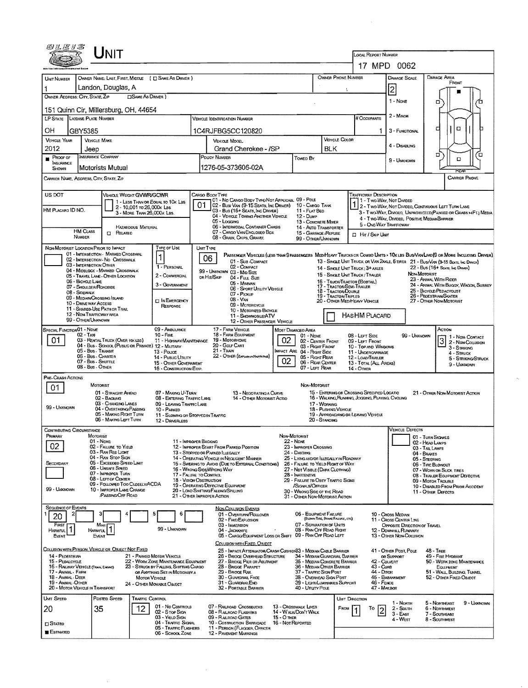| <i>®LE1S</i>                                                                                          |                                                |                                                                         |                             |                                                                          |                                             |                                                                                 |                                                                                                                                                   |                                    |                                                                                             |                                             |                                                                                                 |                                                                                                                                                                           |                                                       |                         |                                                              |                                       |  |  |  |  |
|-------------------------------------------------------------------------------------------------------|------------------------------------------------|-------------------------------------------------------------------------|-----------------------------|--------------------------------------------------------------------------|---------------------------------------------|---------------------------------------------------------------------------------|---------------------------------------------------------------------------------------------------------------------------------------------------|------------------------------------|---------------------------------------------------------------------------------------------|---------------------------------------------|-------------------------------------------------------------------------------------------------|---------------------------------------------------------------------------------------------------------------------------------------------------------------------------|-------------------------------------------------------|-------------------------|--------------------------------------------------------------|---------------------------------------|--|--|--|--|
| UNIT                                                                                                  |                                                |                                                                         |                             |                                                                          |                                             |                                                                                 |                                                                                                                                                   |                                    |                                                                                             |                                             |                                                                                                 | LOCAL REPORT NUMBER<br>17 MPD 0062                                                                                                                                        |                                                       |                         |                                                              |                                       |  |  |  |  |
|                                                                                                       |                                                |                                                                         |                             |                                                                          |                                             |                                                                                 |                                                                                                                                                   |                                    |                                                                                             |                                             |                                                                                                 |                                                                                                                                                                           |                                                       |                         |                                                              |                                       |  |  |  |  |
| UNIT NUMBER                                                                                           |                                                |                                                                         |                             | OWNER NAME: LAST, FIRST, MIDDLE ( C SAME AS DRIVER )                     |                                             |                                                                                 |                                                                                                                                                   |                                    |                                                                                             |                                             | OWNER PHONE NUMBER                                                                              |                                                                                                                                                                           | DAMAGE SCALE                                          |                         | Damage Area<br>FRONT                                         |                                       |  |  |  |  |
|                                                                                                       |                                                | Landon, Douglas, A                                                      |                             |                                                                          |                                             |                                                                                 |                                                                                                                                                   |                                    |                                                                                             |                                             |                                                                                                 |                                                                                                                                                                           | $\overline{2}$                                        |                         |                                                              |                                       |  |  |  |  |
| <b>CISAME AS DRIVER</b> )<br>OWNER ADDRESS: CITY, STATE, ZIP<br>151 Quinn Cir, Millersburg, OH, 44654 |                                                |                                                                         |                             |                                                                          |                                             |                                                                                 |                                                                                                                                                   |                                    |                                                                                             |                                             |                                                                                                 |                                                                                                                                                                           | 1 - Nove                                              |                         | α                                                            |                                       |  |  |  |  |
| LP STATE LICENSE PLATE NUMBER                                                                         |                                                |                                                                         |                             |                                                                          |                                             | <b>VEHICLE IDENTIFICATION NUMBER</b>                                            |                                                                                                                                                   |                                    |                                                                                             | # Occupants                                 |                                                                                                 | $2 -$ Minon                                                                                                                                                               |                                                       |                         |                                                              |                                       |  |  |  |  |
|                                                                                                       |                                                |                                                                         |                             |                                                                          |                                             |                                                                                 |                                                                                                                                                   |                                    |                                                                                             |                                             |                                                                                                 |                                                                                                                                                                           |                                                       | $\Box$<br>□             |                                                              |                                       |  |  |  |  |
| OН<br><b>VEHICLE YEAR</b>                                                                             | GBY5385<br><b>VEHICLE MAKE</b>                 |                                                                         |                             |                                                                          |                                             |                                                                                 | 1C4RJFBG5CC120820                                                                                                                                 |                                    |                                                                                             | <b>VEHICLE COLOR</b>                        |                                                                                                 | 1                                                                                                                                                                         | 3 - FUNCTIONAL                                        |                         |                                                              |                                       |  |  |  |  |
| 2012                                                                                                  | Jeep                                           |                                                                         |                             |                                                                          | VEHICLE MODEL<br>Grand Cherokee - /SP       |                                                                                 |                                                                                                                                                   |                                    |                                                                                             | <b>BLK</b>                                  |                                                                                                 |                                                                                                                                                                           | 4 - DISABUNG                                          |                         |                                                              |                                       |  |  |  |  |
| Proof of<br>INSURANCE                                                                                 |                                                | INSURANCE COMPANY                                                       |                             |                                                                          |                                             | POUCY NUMBER                                                                    |                                                                                                                                                   |                                    | Towed By                                                                                    |                                             |                                                                                                 |                                                                                                                                                                           | 9 - Unknown                                           |                         | п<br>о                                                       | Έ                                     |  |  |  |  |
| SHOWN                                                                                                 |                                                | Motorists Mutual                                                        |                             |                                                                          |                                             |                                                                                 | 1276-05-373606-02A                                                                                                                                |                                    |                                                                                             |                                             |                                                                                                 |                                                                                                                                                                           |                                                       |                         | RFAR                                                         |                                       |  |  |  |  |
| <b>CARRIER PHONE</b><br>CARRIER NAME, ADDRESS, CITY, STATE, ZIP                                       |                                                |                                                                         |                             |                                                                          |                                             |                                                                                 |                                                                                                                                                   |                                    |                                                                                             |                                             |                                                                                                 |                                                                                                                                                                           |                                                       |                         |                                                              |                                       |  |  |  |  |
| US DOT<br>VEHICLE WEIGHT GVWR/GCWR<br>CARGO BOOY TYPE<br><b>TRAFFICWAY DESCRIPTION</b>                |                                                |                                                                         |                             |                                                                          |                                             |                                                                                 |                                                                                                                                                   |                                    |                                                                                             |                                             |                                                                                                 |                                                                                                                                                                           |                                                       |                         |                                                              |                                       |  |  |  |  |
|                                                                                                       |                                                |                                                                         | 2 - 10,001 то 26,000к LBS   | 1 - LESS THAN OR EQUAL TO 10K LBS                                        | 01                                          |                                                                                 | 01 - No CARGO BODY TYPE/NOT APPLICABL 09 - POLE<br>02 - Busy Van (9-15 Seats, Inc Driver)                                                         |                                    | 10 - Cargo Tank                                                                             |                                             |                                                                                                 |                                                                                                                                                                           | 1 - Two-Way, Not Divided                              |                         |                                                              |                                       |  |  |  |  |
| HM PLACARD ID NO.                                                                                     |                                                |                                                                         | 3 - MORE THAN 26,000 K LBS. |                                                                          |                                             |                                                                                 | 03 - Bus (16+ Seats, Inc Driver)<br>04 - VEHICLE TOWING ANOTHER VEHICLE                                                                           |                                    | 11 - FLAT BED<br>12 - Dump                                                                  |                                             |                                                                                                 | 2 - Two-Way, Not Divideo, Continuous LEFT TURN LANE<br>3 - T WO-WAY, DIVIDEO, UNPROTECTED (PAINTED OR GRASS >4FT.) MEDIA<br>4 - Two-Way, Divideo, Positive Median Barrier |                                                       |                         |                                                              |                                       |  |  |  |  |
|                                                                                                       | <b>HM CLASS</b>                                |                                                                         | <b>HAZARDOUS MATERIAL</b>   |                                                                          |                                             |                                                                                 | 05 - Logging<br>06 - INTERMODAL CONTAINER CHASIS                                                                                                  |                                    | 13 - CONCRETE MODER<br>14 - AUTO TRANSPORTER                                                |                                             |                                                                                                 |                                                                                                                                                                           | 5 - ONE-WAY TRAFFICWAY                                |                         |                                                              |                                       |  |  |  |  |
|                                                                                                       | <b>NUMBER</b>                                  | <b>CI RELATED</b>                                                       |                             |                                                                          |                                             |                                                                                 | 07 - CARGO VAN/ENCLOSED BOX<br>08 - GRAIN, CHIPS, GRAVEL                                                                                          |                                    | 15 - GARRAGE /REFUSE<br>99 - OTHER/UNKNOWN                                                  |                                             | <b>II</b> Hit / Skip UNIT                                                                       |                                                                                                                                                                           |                                                       |                         |                                                              |                                       |  |  |  |  |
| NON-MOTORIST LOCATION PRIOR TO IMPACT                                                                 |                                                |                                                                         |                             | TYPE OF USE                                                              | <b>UNIT TYPE</b>                            |                                                                                 |                                                                                                                                                   |                                    |                                                                                             |                                             |                                                                                                 |                                                                                                                                                                           |                                                       |                         |                                                              |                                       |  |  |  |  |
|                                                                                                       |                                                | 01 - INTERSECTION - MARKED CROSSWAL<br>02 - INTERSECTION - NO CROSSWALK |                             |                                                                          |                                             | 06                                                                              | PASSENGER VEHICLES (LESS THAN 9 PASSENGERS MED/HEAVY TRUCKS OR COMBO UNITS > 10K LBS BUS/VAN/LIMO(9 OR MORE INCLUDING DRIVER)<br>01 - Sun COMPACT |                                    |                                                                                             |                                             | 13 - SINGLE UNIT TRUCK OR VAN 2AXLE, 6 TIRES 21 - BUS/VAN (9-15 SEATS, INC DIRWER)              |                                                                                                                                                                           |                                                       |                         |                                                              |                                       |  |  |  |  |
|                                                                                                       | 03 - INTERSECTION OTHER                        | 04 - MIDBLOCK - MARKED CROSSWALK                                        |                             | 1 - PERSONAL                                                             |                                             |                                                                                 | 02 - COMPACT<br>99 - UNKNOWN 03 - MID SIZE                                                                                                        |                                    |                                                                                             |                                             | 14 - SINGLE UNIT TRUCK: 3+ AXLES<br>15 - SINGLE UNIT TRUCK / TRAILER                            |                                                                                                                                                                           |                                                       | NON MOTORIST            | 22 - Bus (16+ Seats, Inc Driver)                             |                                       |  |  |  |  |
|                                                                                                       | 06 - Bicycle LAME                              | 05 - TRAVEL LANE - OTHER LOCATION                                       |                             | 2 - COMMERCIAL<br>3 - GOVERNMENT                                         |                                             | on Hin/Skip                                                                     | 04 - FULL SIZE<br>05 - Minivan                                                                                                                    |                                    |                                                                                             |                                             | 16 - TRUCK/TRACTOR (BOBTAIL)<br>17 - TRACTOR/SEMI-TRAILER                                       |                                                                                                                                                                           |                                                       |                         | 23 - ANIMAL WITH RIDER                                       | 24 - ANIMAL WITH BUGGY, WAGON, SURREY |  |  |  |  |
|                                                                                                       | 07 - SHOULDER/ROADSIDE<br>08 - Sidewalk        |                                                                         |                             |                                                                          |                                             |                                                                                 | 06 - SPORT UTILITY VEHICLE<br>07 - PICKUP                                                                                                         |                                    |                                                                                             | 18 - Tractor/Double<br>19 - TRACTOR/TRIPLES |                                                                                                 |                                                                                                                                                                           |                                                       |                         | 25 - BICYCLE/PEDACYCLIST<br>26 - PEDESTRIAN SKATER           |                                       |  |  |  |  |
|                                                                                                       | 10 - DRIVE WAY ACCESS                          | 09 - MEDIAN/CROSSING ISLAND                                             |                             | <b>EI IN EMERGENCY</b><br>RESPONSE                                       |                                             | 08 - Van<br>09 - MOTORCYCLE                                                     |                                                                                                                                                   |                                    |                                                                                             |                                             | 20 - OTHER MED/HEAVY VEHICLE                                                                    |                                                                                                                                                                           |                                                       | 27 - OTHER NON-MOTORIST |                                                              |                                       |  |  |  |  |
|                                                                                                       | 12 - Non-Trafficway area<br>99 - OTHER/UNKNOWN | 11 - SHARED-USE PATH OR TRAIL                                           |                             |                                                                          |                                             |                                                                                 | 10 - Motorized Bicycle<br>11 - SNOWMOBILE/ATV                                                                                                     |                                    |                                                                                             |                                             | HASHM PLACARD                                                                                   |                                                                                                                                                                           |                                                       |                         |                                                              |                                       |  |  |  |  |
| SPECIAL FUNCTION 01 - NOME                                                                            |                                                |                                                                         |                             | 09 - AMBULANCE                                                           |                                             |                                                                                 | 12 - OTHER PASSENGER VEHICLE<br>17 - FARM VEHICLE                                                                                                 |                                    | MOST DAMAGED AREA                                                                           |                                             |                                                                                                 |                                                                                                                                                                           |                                                       |                         | Астом                                                        |                                       |  |  |  |  |
| 01                                                                                                    | $02 - TAYI$                                    | 03 - RENTAL TRUCK (OVER 10K LBS)                                        |                             | <b>10 - FIRE</b><br>11 - HIGHWAY/MAINTENANCE                             | 18 - FARM EQUIPMENT<br>02<br>19 - Мотояноме |                                                                                 |                                                                                                                                                   |                                    | 01 - None                                                                                   | 02 - CENTER FRONT                           | 08 - LEFT SIDE<br>09 - LEFT FRONT                                                               |                                                                                                                                                                           | 99 - UNKNOWN                                          |                         | 1 - NON CONTACT                                              |                                       |  |  |  |  |
|                                                                                                       | 05 - Bus - Transit                             | 04 - Bus - SCHOOL (PUBLIC OR PRIVATE) 12 - MILITARY                     |                             | 13 - Pouce                                                               |                                             | 20 - GOLF CART<br>03 - Right Front<br>$21 -$ Train<br>MPACT ARE 04 - RIGHT SIDE |                                                                                                                                                   |                                    |                                                                                             |                                             | 10 - Top and Windows<br>11 - UNDERCARRIAGE                                                      |                                                                                                                                                                           |                                                       |                         | 3 2- Non-Coursion<br>3 - STRIKING<br>4 - Struck              |                                       |  |  |  |  |
|                                                                                                       | 06 - Bus - Charter<br>07 - Bus - SHUTTLE       |                                                                         |                             | 14 - Pusuc Unury<br>15 - OTHER GOVERNMENT                                |                                             |                                                                                 | 22 - OTHER (EXPLANUATION TANKE)<br>05 - Right Rear<br>12 - LOAD/TRAILER<br>02<br>06 - REAR CENTER<br>13 - TOTAL (ALL AREAS)                       |                                    |                                                                                             |                                             |                                                                                                 |                                                                                                                                                                           |                                                       |                         |                                                              | 5 - STRIKING/STRUCK                   |  |  |  |  |
|                                                                                                       | 08 - Bus - OTHER                               |                                                                         |                             | 16 - CONSTRUCTION EOIP.                                                  |                                             |                                                                                 |                                                                                                                                                   |                                    | 07 - LEFT REAR                                                                              |                                             | 14 - Отнев                                                                                      |                                                                                                                                                                           |                                                       |                         |                                                              | 9 - Unknown                           |  |  |  |  |
| PRE-CRASH ACTIONS                                                                                     |                                                | Motorist                                                                |                             |                                                                          |                                             |                                                                                 |                                                                                                                                                   |                                    | NON-MOTORIST                                                                                |                                             |                                                                                                 |                                                                                                                                                                           |                                                       |                         |                                                              |                                       |  |  |  |  |
| 01                                                                                                    |                                                | 01 - STRAIGHT AHEAD<br>02 - BACKING                                     |                             | 07 - MAKING U-TURN<br>08 - ENTERING TRAFFIC LANE                         |                                             |                                                                                 | 13 - Negotiating a Curve<br>14 - OTHER MOTORIST ACTIO                                                                                             |                                    |                                                                                             |                                             | 15 - ENTERING OR CROSSING SPECIFIED LOCATIO<br>16 - WALKING, RUNNING, JOGGING, PLAYING, CYCLING |                                                                                                                                                                           |                                                       |                         | 21 - OTHER NON-MOTORIST ACTION                               |                                       |  |  |  |  |
| 99 - UNKNOWN                                                                                          |                                                | 03 - CHANGING LANES<br>04 - OVERTAKING/PASSING                          |                             | 09 - LEAVING TRAFFIC LANE                                                |                                             |                                                                                 |                                                                                                                                                   |                                    |                                                                                             | 17 - WORKING                                |                                                                                                 |                                                                                                                                                                           |                                                       |                         |                                                              |                                       |  |  |  |  |
|                                                                                                       |                                                | 05 - MAKING RIGHT TURN<br>06 - MAKING LEFT TURN                         |                             | 10 - PARKED<br>11 - SLOWING OR STOPPED IN TRAFFIC<br>12 - DRIVERLESS     |                                             |                                                                                 |                                                                                                                                                   |                                    |                                                                                             | 18 - Pushing Vehicle<br>20 - STANDING       | 19 - APPROACHING OR LEAVING VEHICLE                                                             |                                                                                                                                                                           |                                                       |                         |                                                              |                                       |  |  |  |  |
| CONTRIBUTING CIRCUMSTANCE                                                                             |                                                |                                                                         |                             |                                                                          |                                             |                                                                                 |                                                                                                                                                   |                                    |                                                                                             |                                             |                                                                                                 |                                                                                                                                                                           | <b>VEHICLE DEFECTS</b>                                |                         |                                                              |                                       |  |  |  |  |
| Primary                                                                                               | MOTORIST                                       | 01 - None                                                               |                             | 11 - IMPROPER BACKING                                                    |                                             |                                                                                 |                                                                                                                                                   |                                    | NON-MOTORIST<br><b>22 - NONE</b>                                                            |                                             |                                                                                                 |                                                                                                                                                                           |                                                       | 02 - HEAD LAMPS         | 01 - TURN SIGNALS                                            |                                       |  |  |  |  |
| 02                                                                                                    |                                                | 02 - FAILURE TO YIELD<br>03 - RAN RED LIGHT                             |                             | 13 - Stopped or PARKED LLEGALLY                                          |                                             |                                                                                 | 12 - IMPROPER START FROM PARKED POSITION                                                                                                          |                                    |                                                                                             |                                             | 04 - BRAKES                                                                                     | 03 - TAIL LAMPS                                                                                                                                                           |                                                       |                         |                                                              |                                       |  |  |  |  |
| SECONDARY                                                                                             |                                                | 04 - RAN STOP SIGN<br>05 - Exceeded Speed LIMIT                         |                             |                                                                          |                                             |                                                                                 | 14 - OPERATING VEHICLE IN NEGLIGENT MANNER<br>15 - Swering to Avoid (Due to External Conditions)                                                  |                                    | 24 - DARTING<br>25 - LYING AND/OR ILLEGALLY IN ROADWAY<br>26 - FALURE TO YIELD RIGHT OF WAY |                                             |                                                                                                 |                                                                                                                                                                           |                                                       |                         | 05 - STEERING<br>06 - TIRE BLOWOUT                           |                                       |  |  |  |  |
|                                                                                                       |                                                | 06 - UNSAFE SPEED<br>07 - IMPROPER TURN                                 |                             | 16 - Wrong Side Wrong Way<br>17 - FALURE TO CONTROL                      |                                             |                                                                                 |                                                                                                                                                   |                                    | 27 - NOT VISIBLE (DARK CLOTHING)<br>28 - INATTENTIVE                                        |                                             |                                                                                                 |                                                                                                                                                                           |                                                       |                         | 07 - WORN OR SLICK TIRES<br>08 - TRAILER EQUIPMENT DEFECTIVE |                                       |  |  |  |  |
|                                                                                                       |                                                | 08 - LEFT OF CENTER<br>09 - FOLLOWED TOO CLOSELY/ACDA                   |                             | 18 - Vision OBSTRUCTION                                                  |                                             |                                                                                 | 19 - OPERATING DEFECTIVE EQUIPMENT                                                                                                                | 29 - FAILURE TO OBEY TRAFFIC SIGNS |                                                                                             |                                             |                                                                                                 | 09 - MOTOR TROUBLE<br>10 - DISABLED FROM PRIOR ACCIDENT                                                                                                                   |                                                       |                         |                                                              |                                       |  |  |  |  |
| 99 - UMXNOWN                                                                                          |                                                | 10 - IMPROPER LANE CHANGE<br><b>PASSING OFF ROAD</b>                    |                             | 21 - OTHER IMPROPER ACTION                                               |                                             |                                                                                 | 20 - LOAD SHIFTING/FALLING/SPILLING                                                                                                               |                                    | /SIGNALS/OFFICER<br>30 - WRONG SIDE OF THE ROAD<br>31 - OTHER NON-MOTORIST ACTION           |                                             |                                                                                                 |                                                                                                                                                                           |                                                       |                         | 11 - Other Derects                                           |                                       |  |  |  |  |
| SEQUENCE OF EVENTS                                                                                    |                                                |                                                                         |                             |                                                                          |                                             |                                                                                 | <b>NON-COLLISION EVENTS</b>                                                                                                                       |                                    |                                                                                             |                                             |                                                                                                 |                                                                                                                                                                           |                                                       |                         |                                                              |                                       |  |  |  |  |
| 20                                                                                                    |                                                |                                                                         |                             | €                                                                        |                                             |                                                                                 | 01 - Overturn/Rollover<br>02 - FIRE/EXPLOSION                                                                                                     |                                    | 06 - EQUIPMENT FAILURE                                                                      | (BLOWN TIRE, BRAKE FAILURE, ETC)            |                                                                                                 |                                                                                                                                                                           | 10 - Cross Median<br>11 - Cross Center Line           |                         |                                                              |                                       |  |  |  |  |
| FIRST<br>1<br>Harmful                                                                                 | HARMFUL.                                       |                                                                         |                             | 99 - UNKNOWN                                                             |                                             |                                                                                 | 03 - IMMERSION<br>04 - JACKKMFE                                                                                                                   |                                    | 07 - SEPARATION OF UNITS<br>08 - RAN OFF ROAD RIGHT                                         |                                             |                                                                                                 |                                                                                                                                                                           | OPPOSITE DIRECTION OF TRAVEL<br>12 - DOWNHILL RUNAWAY |                         |                                                              |                                       |  |  |  |  |
| Event                                                                                                 |                                                | Event                                                                   |                             |                                                                          |                                             |                                                                                 | 05 - CARGO/EQUIPMENT LOSS OR SHIFT<br>COLUSION WITH FIXED, ORJECT                                                                                 |                                    | 09 - RAN OFF ROAD LEFT                                                                      |                                             |                                                                                                 |                                                                                                                                                                           | 13 - OTHER NON-COLUSION                               |                         |                                                              |                                       |  |  |  |  |
| COLLISION WITH PERSON, VEHICLE OR OBJECT NOT FIXED                                                    |                                                |                                                                         |                             |                                                                          |                                             |                                                                                 | 25 - IMPACT ATTENUATOR/CRASH CUSHION33 - MEDIAN CABLE BARRIER                                                                                     |                                    |                                                                                             |                                             |                                                                                                 |                                                                                                                                                                           | 41 - OTHER POST POLE                                  |                         | <b>48 - TREE</b>                                             |                                       |  |  |  |  |
| 14 - PEDESTRIAN<br>15 - PEDALCYCLE                                                                    |                                                |                                                                         |                             | 21 - PARKED MOTOR VEHICLE<br>22 - WORK ZONE MAINTENANCE EQUIPMENT        |                                             |                                                                                 | 26 - BRIDGE OVERHEAD STRUCTURE<br>27 - BRIDGE PIER OR ABUTMENT                                                                                    |                                    | 34 - MEDIAN GUARDRAIL BARRIER<br>35 - MEDIAN CONCRETE BARRIER                               |                                             |                                                                                                 | 42 - CULVERT                                                                                                                                                              | OR SUPPORT                                            |                         | 49 - FIRE HYDRANT<br>50 - WORK ZONE MAINTENANCE              |                                       |  |  |  |  |
| 16 - RAILWAY VEHICLE (TRAIN, ENGRE)<br>17 - Anhal - Farn                                              |                                                |                                                                         |                             | 23 - STRUCK BY FALLING, SHIFTING CARGO<br>OR ANYTHING SET IN MOTION BY A |                                             |                                                                                 | 28 - Bridge PARAPET<br>29 - BRIDGE RAIL                                                                                                           |                                    | 36 - MEDIAN OTHER BARRIER<br>37 - Traffic Sign Post                                         |                                             |                                                                                                 | 43 - Cura<br>44 - Олон                                                                                                                                                    |                                                       |                         | EQUIPMENT<br>51 - WALL, BUILDING, TUNNEL                     |                                       |  |  |  |  |
| 18 - ANIMAL - DEER<br>19 - Animal Other<br>20 - MOTOR VEHICLE IN TRANSPORT                            |                                                |                                                                         | <b>MOTOR VEHICLE</b>        | 24 - OTHER MOVABLE OBJECT                                                |                                             |                                                                                 | 30 - GUARDRAIL FACE<br>31 - GUARDRAILEND                                                                                                          |                                    | 38 - Overhead Sign Post<br>39 - Light/Luminaries Support                                    |                                             |                                                                                                 | 46 - FENCE                                                                                                                                                                | 45 - Embankment                                       |                         | 52 - Other Fixed Osject                                      |                                       |  |  |  |  |
| <b>UMT SPEED</b>                                                                                      |                                                | Posted Speed                                                            | <b>TRAFFIC CONTROL</b>      |                                                                          |                                             |                                                                                 | 32 - PORTABLE BARRIER                                                                                                                             |                                    | 40 - Unury Pole                                                                             |                                             | UMT DIRECTION                                                                                   | 47 - MAILBOX                                                                                                                                                              |                                                       |                         |                                                              |                                       |  |  |  |  |
| 20                                                                                                    | 35                                             |                                                                         | 12.                         | 01 - No Controls                                                         |                                             |                                                                                 | 07 - RALROAD CROSSBUCKS                                                                                                                           |                                    | 13 - CROSSWALK LINES                                                                        |                                             | FROM<br>То                                                                                      |                                                                                                                                                                           | 1 - North<br>$2 -$ Soume                              |                         | 5 - Northeast<br>6 - Normwest                                | 9 - UMXNOWN                           |  |  |  |  |
|                                                                                                       |                                                |                                                                         |                             | 02 - Stop Sign<br>03 - YIELD SIGN                                        |                                             |                                                                                 | 08 - RALROAD FLASHERS<br>09 - RAILROAD GATES                                                                                                      | 15 - О тиєв                        | 14 - WALK/DON'T WALK                                                                        |                                             |                                                                                                 |                                                                                                                                                                           | $3 - EAST$<br>4 - West                                |                         | 7 - SOUTHEAST<br>8 - Southwest                               |                                       |  |  |  |  |
| $\square$ Stated<br><b>ESTIMATED</b>                                                                  |                                                |                                                                         |                             | 04 - TRAFFIC SIGNAL<br>05 - Traffic Flashers                             |                                             |                                                                                 | 10 - COSTRUCTION BARRICADE<br>11 - PERSON (FLAGGER, OFFICER                                                                                       | 16 - Not Reported                  |                                                                                             |                                             |                                                                                                 |                                                                                                                                                                           |                                                       |                         |                                                              |                                       |  |  |  |  |
|                                                                                                       |                                                |                                                                         |                             | 06 - SCHOOL ZONE                                                         |                                             |                                                                                 | 12 - PAVEMENT MARKINGS                                                                                                                            |                                    |                                                                                             |                                             |                                                                                                 |                                                                                                                                                                           |                                                       |                         |                                                              |                                       |  |  |  |  |

 $\hat{\mathcal{A}}$ 

 $\hat{\mathcal{A}}$ 

 $\mathcal{L}^{\text{max}}_{\text{max}}$ 

 $\zeta_{\rm{eff}}$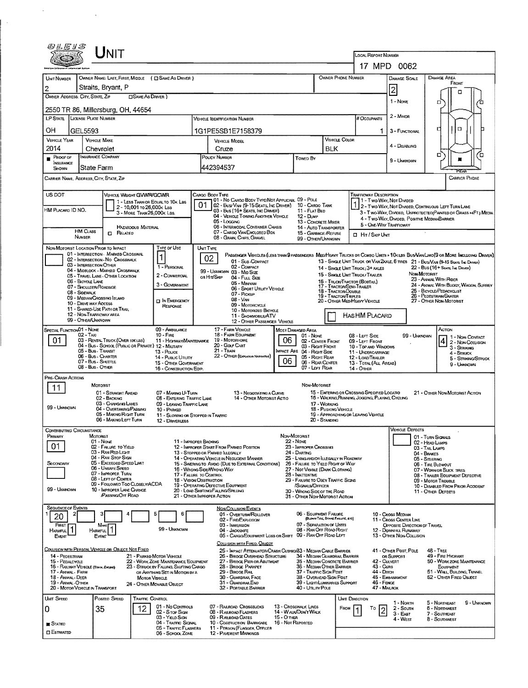|                                                                                                                                                                               | UNIT                                                                                            |                                                                |                                                                                |                                    |                                                                                                                               |                                                       |                                                                                           |                                                                             |                                   |                                                                                               |                                                       |                                                                                                                         |                                                                |  |  |
|-------------------------------------------------------------------------------------------------------------------------------------------------------------------------------|-------------------------------------------------------------------------------------------------|----------------------------------------------------------------|--------------------------------------------------------------------------------|------------------------------------|-------------------------------------------------------------------------------------------------------------------------------|-------------------------------------------------------|-------------------------------------------------------------------------------------------|-----------------------------------------------------------------------------|-----------------------------------|-----------------------------------------------------------------------------------------------|-------------------------------------------------------|-------------------------------------------------------------------------------------------------------------------------|----------------------------------------------------------------|--|--|
|                                                                                                                                                                               |                                                                                                 |                                                                |                                                                                | LOCAL REPORT NUMBER<br>17 MPD 0062 |                                                                                                                               |                                                       |                                                                                           |                                                                             |                                   |                                                                                               |                                                       |                                                                                                                         |                                                                |  |  |
| UNIT NUMBER                                                                                                                                                                   | OWNER NAME: LAST, FIRST, MIDDLE ( C SAME AS DRIVER )                                            |                                                                | DAMAGE AREA<br>DAMAGE SCALE                                                    |                                    |                                                                                                                               |                                                       |                                                                                           |                                                                             |                                   |                                                                                               |                                                       |                                                                                                                         |                                                                |  |  |
| $\overline{2}$                                                                                                                                                                | Straits, Bryant, P                                                                              |                                                                |                                                                                |                                    |                                                                                                                               |                                                       |                                                                                           | <b>OWNER PHONE NUMBER</b><br>FRONT                                          |                                   |                                                                                               |                                                       |                                                                                                                         |                                                                |  |  |
| OWNER ADDRESS: CITY, STATE, ZIP                                                                                                                                               |                                                                                                 |                                                                |                                                                                | $ 2\rangle$<br>1 - None            |                                                                                                                               |                                                       |                                                                                           |                                                                             |                                   |                                                                                               |                                                       |                                                                                                                         |                                                                |  |  |
| α<br>2550 TR 86, Millersburg, OH, 44654                                                                                                                                       |                                                                                                 |                                                                |                                                                                |                                    |                                                                                                                               |                                                       |                                                                                           |                                                                             |                                   |                                                                                               |                                                       |                                                                                                                         |                                                                |  |  |
| LP STATE LICENSE PLATE NUMBER                                                                                                                                                 |                                                                                                 |                                                                | VEHICLE IDENTIFICATION NUMBER                                                  |                                    |                                                                                                                               | # Occupants                                           | 2 - MINOR                                                                                 |                                                                             |                                   |                                                                                               |                                                       |                                                                                                                         |                                                                |  |  |
| OН<br>GEL5593                                                                                                                                                                 |                                                                                                 |                                                                |                                                                                |                                    | 1G1PE5SB1E7158379                                                                                                             |                                                       |                                                                                           |                                                                             |                                   |                                                                                               | 3 - Functional                                        | $\Box$                                                                                                                  |                                                                |  |  |
| <b>VEHICLE YEAR</b><br>2014                                                                                                                                                   | <b>VEHICLE MAKE</b><br>Chevrolet                                                                |                                                                |                                                                                |                                    | <b>VEHICLE MODEL</b>                                                                                                          |                                                       | VEHICLE COLOR<br><b>BLK</b>                                                               |                                                                             |                                   | 4 - DISABLING                                                                                 |                                                       |                                                                                                                         |                                                                |  |  |
| $P$ ROOF OF                                                                                                                                                                   | INSURANCE COMPANY                                                                               |                                                                |                                                                                | Cruze<br>POUCY NUMBER<br>Towed By  |                                                                                                                               |                                                       |                                                                                           |                                                                             |                                   |                                                                                               | 9 - UNKNOWN                                           | α                                                                                                                       | o                                                              |  |  |
| INSURANCE<br><b>SHOWN</b>                                                                                                                                                     | State Farm                                                                                      |                                                                |                                                                                |                                    | 442394537                                                                                                                     |                                                       |                                                                                           |                                                                             |                                   |                                                                                               |                                                       |                                                                                                                         |                                                                |  |  |
| CARRIER NAME, ADDRESS, CITY, STATE, ZIP<br>CARRIER PHONE                                                                                                                      |                                                                                                 |                                                                |                                                                                |                                    |                                                                                                                               |                                                       |                                                                                           |                                                                             |                                   |                                                                                               |                                                       |                                                                                                                         |                                                                |  |  |
| US DOT<br>CARGO BODY TYPE<br><b>TRAFFICWAY DESCRIPTION</b><br><b>VEHICLE WEIGHT GVWR/GCWR</b><br>101 - No Cargo Body Type/Not Applicabl 09 - Pole<br>1 - Two-Way, Not Divided |                                                                                                 |                                                                |                                                                                |                                    |                                                                                                                               |                                                       |                                                                                           |                                                                             |                                   |                                                                                               |                                                       |                                                                                                                         |                                                                |  |  |
| HM PLACARD ID NO.                                                                                                                                                             |                                                                                                 | 1 - LESS THAN OR EQUAL TO 10K LBS<br>2 - 10,001 To 26,000K Las |                                                                                |                                    | 02 - Busi Van (9-15 Seats, Inc Driver) 10 - Cargo Tank<br>03 - Bus (16+ Seats, Inc Driver)                                    |                                                       | 11 - FLAT BED                                                                             |                                                                             |                                   |                                                                                               |                                                       | 2 - Two-Way, Not Divided, Continuous Left Turn Lane                                                                     |                                                                |  |  |
|                                                                                                                                                                               |                                                                                                 | 3 - MORE THAN 26,000K LBS.                                     |                                                                                |                                    | 04 - VEHICLE TOWING ANOTHER VEHICLE<br>05 - Logging                                                                           |                                                       | 12 - Dump<br>13 - CONCRETE MIXER                                                          |                                                                             |                                   |                                                                                               |                                                       | 4 - Two-Way, Divided, Positive MedianBarrier                                                                            | 3 - Two-Way, DIMDED, UNPROTECTED(PAINTED OR GRASS >4FT.) MEDIA |  |  |
| <b>HM CLASS</b>                                                                                                                                                               | <b>CI RELATED</b>                                                                               | <b>HAZARDOUS MATERIAL</b>                                      |                                                                                |                                    | <b>06 - INTERMODAL CONTAINER CHASIS</b><br>07 - CARGO VAN ENCLOSED BOX                                                        |                                                       | 14 - AUTO TRANSPORTER<br>15 - GARBAGE /REFUSE                                             |                                                                             |                                   | 5 - ONE-WAY TRAFFICWAY<br><b>CI HIT / SKIP UNIT</b>                                           |                                                       |                                                                                                                         |                                                                |  |  |
| NUMBER                                                                                                                                                                        |                                                                                                 |                                                                |                                                                                |                                    | 08 - GRAIN, CHIPS, GRAVEL                                                                                                     |                                                       | 99 - OTHER/UNKNOWN                                                                        |                                                                             |                                   |                                                                                               |                                                       |                                                                                                                         |                                                                |  |  |
|                                                                                                                                                                               | NON-MOTORIST LOCATION PRIOR TO IMPACT<br>01 - INTERSECTION - MARKED CROSSWAL                    |                                                                | Type or Use<br>1                                                               | UNIT TYPE<br>02                    | PASSENGER VEHICLES (LESS THAN 9 PASSENGERS MEDIMEAVY TRUCKS OR COMBO UNITS > 10K LBS BUS/VAN/LIMO(9 OR MORE INCLUDING DRIVER) |                                                       |                                                                                           |                                                                             |                                   |                                                                                               |                                                       |                                                                                                                         |                                                                |  |  |
|                                                                                                                                                                               | 02 - INTERSECTION - NO CROSSWALK<br>03 - INTERSECTION OTHER<br>04 - MIDBLOCK - MARKED CROSSWALK |                                                                | 1 - PERSONAL                                                                   |                                    | 01 - Sus-Compact<br>02 - COMPACT                                                                                              |                                                       |                                                                                           | 14 - SINGLE UNIT TRUCK: 3+ AXLES                                            |                                   |                                                                                               |                                                       | 13 - SINGLE UNIT TRUCK OR VAN ZAXLE, 6 TIRES 21 - BUS/VAN (9-15 SEATS, INC DRIVER)<br>22 - Bus (16+ Seats, Inc. Driver) |                                                                |  |  |
| 06 - BICYCLE LANE                                                                                                                                                             | 05 - TRAVEL LANE - OTHER LOCATION                                                               |                                                                | 2 - COMMERCIAL                                                                 | ов Ніт/Ѕкір                        | 99 - UNKNOWN 03 - MID SIZE<br>04 - Full Size                                                                                  |                                                       |                                                                                           | 15 - SINGLE UNIT TRUCK/ TRAILER<br>16 - TRUCK/TRACTOR (BOBTAIL)             |                                   |                                                                                               |                                                       | NON-MOTORIST<br>23 - AMMAL WITH RIDER                                                                                   |                                                                |  |  |
| 08 - Sidewalk                                                                                                                                                                 | 07 - SHOULDER/ROADSIDE                                                                          |                                                                | 3 - GOVERNMENT                                                                 |                                    | 05 - MIMVAN<br>06 - Sport Uttury Vehicle                                                                                      |                                                       |                                                                                           | 17 - TRACTOR/SEMI-TRAILER<br>18 - Tractor/Double                            |                                   |                                                                                               |                                                       | 25 - BICYCLE/PEDACYCLIST                                                                                                | 24 - ANIMAL WITH BUGGY, WAGON, SURREY                          |  |  |
|                                                                                                                                                                               | 09 - MEDIAN CROSSING ISLAND<br>10 - Drive way Access                                            |                                                                | <b>DI IN EMERGENCY</b>                                                         |                                    | 07 - Pickup<br>$08  VM$<br>09 MOTORCYCLE                                                                                      |                                                       |                                                                                           | 19 - TRACTOR/TRIPLES<br>20 - OTHER MEDIHEAVY VEHICLE                        |                                   |                                                                                               | 26 - PEDESTRIAN SKATER                                | 27 - OTHER NON-MOTORIST                                                                                                 |                                                                |  |  |
|                                                                                                                                                                               | 11 - SHARED-USE PATH OR TRAIL<br>12 - NON-TRAFFICWAY AREA                                       |                                                                | <b>RESPONSE</b>                                                                |                                    | 10 - MOTORIZED BICYCLE<br>11 - SNOWMOBILE/ATV                                                                                 |                                                       |                                                                                           |                                                                             |                                   | HASHM PLACARD                                                                                 |                                                       |                                                                                                                         |                                                                |  |  |
| SPECIAL FUNCTION 01 - NOME                                                                                                                                                    | 99 - OTHER/UNKNOWN                                                                              |                                                                | 09 - AMBULANCE                                                                 |                                    | 12 - OTHER PASSENGER VEHICLE<br>17 - FARM VEHICLE                                                                             |                                                       |                                                                                           |                                                                             |                                   |                                                                                               |                                                       | ACTION                                                                                                                  |                                                                |  |  |
| 01                                                                                                                                                                            | $02 - TAX1$<br>03 - RENTAL TRUCK (OVER 10K LBS)                                                 |                                                                | $10 -$ Fine<br>11 - HIGHWAYIMAINTENANCE                                        |                                    | 18 - FARM EQUIPMENT<br>19 - Мотовноме                                                                                         | Most Damaged Area<br>$01 - None$<br>02 - CENTER FRONT |                                                                                           |                                                                             | 08 - LEFT SIDE<br>09 - LEFT FRONT | 99 - UNKNOWN                                                                                  |                                                       | 1 - Non-Contact<br>4 2 - NON-COLLISION                                                                                  |                                                                |  |  |
|                                                                                                                                                                               | 04 - Bus - SCHOOL (PUBLIC OR PRIVATE) 12 - MILITARY<br>05 - Bus - TRANSIT                       |                                                                | 13 - Pouce                                                                     |                                    | 20 - Gour CART<br>21 - Train                                                                                                  | 06                                                    | 03 - Right Front<br><b>IMPACT ARE 04 - RIGHT SIDE</b>                                     |                                                                             |                                   | 10 - TOP AND WINDOWS<br>11 - UNDERCARRIAGE                                                    |                                                       |                                                                                                                         | 3 - STRIKING<br>4 - STRUCK                                     |  |  |
|                                                                                                                                                                               | 06 - Bus - Charter<br>07 - Bus - SHUTTLE                                                        |                                                                | 14 - Pusuc Ununy<br>15 - OTHER GOVERNMENT                                      |                                    | 22 - OTHER (EXPLAIN IN NARRATIVE)                                                                                             | 06                                                    | 05 - Right Rear<br>06 - REAR CEMTER                                                       |                                                                             |                                   | 12 - LOAD/TRAILER<br>13 - TOTAL (ALL AREAS)                                                   |                                                       |                                                                                                                         | 5 - STRIKING/STRUCK<br>9 - Unknown                             |  |  |
| PRE- CRASH ACTIONS                                                                                                                                                            | 08 - Bus - OTHER                                                                                |                                                                | 16 - CONSTRUCTION EOIP.                                                        |                                    |                                                                                                                               |                                                       | 07 - LEFT REAR                                                                            |                                                                             | 14 - Отнев                        |                                                                                               |                                                       |                                                                                                                         |                                                                |  |  |
| 11                                                                                                                                                                            | MOTORIST                                                                                        |                                                                |                                                                                |                                    |                                                                                                                               |                                                       | NON-MOTORIST                                                                              |                                                                             |                                   |                                                                                               |                                                       |                                                                                                                         |                                                                |  |  |
|                                                                                                                                                                               | 01 - STRAIGHT AHEAD<br>02 - BACKING                                                             |                                                                | 07 - MARING U-TURN<br>08 - ENTERING TRAFFIC LANE                               |                                    | 13 - NEGOTIATING A CURVE<br>14 - OTHER MOTORIST ACTIO                                                                         |                                                       |                                                                                           |                                                                             |                                   | 15 - EMTERING OR CROSSING SPECIRED LOCATIO<br>16 - WALKING RUNNING, JOGGING, PLAYING, CYCLING |                                                       | 21 - OTHER NON-MOTORIST ACTION                                                                                          |                                                                |  |  |
| 99 - Unknown                                                                                                                                                                  | 03 - CHANGING LANES<br>04 - OVERTAKING/PASSING<br>05 - MAKING RIGHT TURN                        |                                                                | 09 - LEAVING TRAFFIC LANE<br>10 - PARKED                                       |                                    |                                                                                                                               |                                                       |                                                                                           | 17 - WORKING<br>18 - PUSHING VEHICLE<br>19 - APPROACHING OR LEAVING VEHICLE |                                   |                                                                                               |                                                       |                                                                                                                         |                                                                |  |  |
|                                                                                                                                                                               | 06 - MAKING LEFT TURN                                                                           |                                                                | 11 - SLOWING OR STOPPED IN TRAFFIC<br>12 - DRIVERLESS                          |                                    |                                                                                                                               |                                                       |                                                                                           | 20 - Standing                                                               |                                   |                                                                                               |                                                       |                                                                                                                         |                                                                |  |  |
| Contributing Circumstance<br>PRIMARY                                                                                                                                          | MOTORIST                                                                                        |                                                                |                                                                                |                                    |                                                                                                                               | NDN-MOTORIST                                          |                                                                                           |                                                                             |                                   |                                                                                               | Vehicle Defects                                       | 01 - TURN SIGNALS                                                                                                       |                                                                |  |  |
| 01                                                                                                                                                                            | 01 - None<br>02 - FAILURE TO YIELD                                                              |                                                                | 11 - IMPROPER BACKING                                                          |                                    | 12 - IMPROPER START FROM PARKED POSITION                                                                                      |                                                       | <b>22 - NDME</b><br>23 - IMPROPER CROSSING                                                |                                                                             |                                   |                                                                                               |                                                       | 02 - HEAD LAMPS<br>03 - TAIL LAMPS                                                                                      |                                                                |  |  |
|                                                                                                                                                                               | 03 - RAN RED LIGHT<br>04 - RAN STOP SIGN<br>05 - EXCEEDED SPEED LIMIT                           |                                                                |                                                                                |                                    | 13 - STOPPED OR PARKED ILLEGALLY<br>14 - OPERATING VEHICLE IN NEGUGENT MANNER                                                 |                                                       | 24 - DARTING<br>25 - LYING AND/OR LLEGALLY IN ROADWAY                                     |                                                                             |                                   |                                                                                               |                                                       | 04 - BRAKES<br>05 - Steering                                                                                            |                                                                |  |  |
| SECONDARY                                                                                                                                                                     | 06 - UNSAFE SPEED<br>07 - IMPROPER TURN                                                         |                                                                | 17 - FALURE TO CONTROL                                                         |                                    | 15 - SWERING TO AVOID (DUE TO EXTERNAL CONDITIONS)<br>16 - WRONG SIDE/WRONG WAY                                               |                                                       | 26 - FALURE TO YIELD RIGHT OF WAY<br>27 - NOT VISIBLE (DARK CLOTHING)<br>28 - INATTENTIVE |                                                                             |                                   |                                                                                               |                                                       | 06 - TIRE BLOWOUT<br>07 - WORN OR SLICK TIRES                                                                           |                                                                |  |  |
|                                                                                                                                                                               | 08 - LEFT OF CENTER<br>09 - FOLLOWED TOO CLOSELY/ACDA                                           |                                                                | 18 - Vision Oristruction                                                       |                                    | 19 - OPERATING DEFECTIVE EQUIPMENT                                                                                            |                                                       | 29 - FAILURE TO OBEY TRAFFIC SIGNS<br>/Signals/Officer                                    |                                                                             |                                   |                                                                                               |                                                       | 08 - TRAILER EQUIPMENT DEFECTIVE<br>09 - MOTOR TROUBLE<br>10 - DISABLED FROM PRIOR ACCIDENT                             |                                                                |  |  |
| 99 - UNINOWN                                                                                                                                                                  | 10 - IMPROPER LANE CHANGE<br>PASSING OFF ROAD                                                   |                                                                | 21 - OTHER IMPROPER ACTION                                                     |                                    | 20 - LOAD SHIFTING/FALUNG/SPILLING                                                                                            |                                                       | 30 - WRONG SIDE OF THE ROAD<br>31 - OTHER NON-MOTORIST ACTION                             |                                                                             |                                   |                                                                                               |                                                       | 11 - OTHER DEFECTS                                                                                                      |                                                                |  |  |
| SEQUENCE OF EVENTS                                                                                                                                                            |                                                                                                 |                                                                |                                                                                |                                    | <b>NON-COLLISION EVENTS</b>                                                                                                   |                                                       |                                                                                           |                                                                             |                                   |                                                                                               |                                                       |                                                                                                                         |                                                                |  |  |
| 20                                                                                                                                                                            |                                                                                                 |                                                                | 6                                                                              |                                    | 01 - OVERTURN/ROLLOVER<br>02 - FIRE/EXPLOSION                                                                                 |                                                       | 06 - EQUIPMENT FAILURE                                                                    | (BLOWN TIRE, BRANE FAILURE, ETC)                                            |                                   |                                                                                               | 10 - Cross Median<br>11 - CROSS CENTER LINE           |                                                                                                                         |                                                                |  |  |
| FIRST<br>l1<br>Harmful                                                                                                                                                        | Most<br>HARMFUL                                                                                 |                                                                | 99 - UNKNOWN                                                                   |                                    | 03 - IMMERSION<br>04 - Jackknife                                                                                              |                                                       | 07 - SEPARATION OF UNITS<br>08 - RAN OFF ROAD RIGHT                                       |                                                                             |                                   |                                                                                               | OPPOSITE DIRECTION OF TRAVEL<br>12 - DOWNHILL RUNAWAY |                                                                                                                         |                                                                |  |  |
| Event                                                                                                                                                                         | Event                                                                                           |                                                                |                                                                                |                                    | 05 - CARGO/EOUIPMENT LOSS OR SHIFT<br>COLUSION WITH FIXED, OBJECT                                                             |                                                       | 09 - RAN OFF ROAD LEFT                                                                    |                                                                             |                                   |                                                                                               | 13 - OTHER NON-COLLISION                              |                                                                                                                         |                                                                |  |  |
| 14 - PEDESTRIAN                                                                                                                                                               | COLLISION WITH PERSON, VEHICLE OR OBJECT NOT FIXED                                              | 21 - PARKED MOTOR VEHICLE                                      |                                                                                |                                    | 25 - IMPACT ATTENUATOR/CRASH CUSHIGAB3 - MEDIAN CABLE BARRIER<br>26 - BRIDGE OVERHEAD STRUCTURE                               |                                                       | 34 - MEDIAN GUARDRAIL BARRIER                                                             |                                                                             |                                   |                                                                                               | 41 - OTHER POST, POLE<br>OR SUPPORT                   | <b>48 - TREE</b><br>49 - FIRE HYDRANT                                                                                   |                                                                |  |  |
| 15 - PEDALCYCLE<br>16 - RAILWAY VEHICLE (TRAIN, ENGINE)                                                                                                                       |                                                                                                 |                                                                | 22 - WORK ZONE MAINTENANCE EQUIPMENT<br>23 - STRUCK BY FALLING, SHIFTING CARGO |                                    | 27 - BRIDGE PIER OR ABUTMENT<br>28 - BRIDGE PARAPET                                                                           |                                                       | 35 - MEDIAN CONCRETE BARRIER<br>36 - MEDIAN OTHER BARRIER                                 |                                                                             |                                   | 42 - CULVERT<br>43 - Curs                                                                     |                                                       | EQUIPMENT                                                                                                               | 50 - WORK ZONE MAINTENANCE                                     |  |  |
| 17 - Animal - Farm<br>18 - Animal - Deer                                                                                                                                      |                                                                                                 | <b>MOTOR VEHICLE</b>                                           | OR ANYTHING SET IN MOTION BY A                                                 |                                    | 29 - Bridge Rail<br>30 - GUARDRAIL FACE                                                                                       |                                                       | 37 - TRAFFIC SIGN POST<br>38 - Overhead Sign Post                                         |                                                                             |                                   | 44 - Олон                                                                                     | 45 - EMBANKMENT                                       | 52 - OTHER FIXED OBJECT                                                                                                 | 51 - WALL, BUILDING, TUNNEL                                    |  |  |
| 19 - Animal - Other<br>20 - MOTOR VEHICLE IN TRANSPORT                                                                                                                        |                                                                                                 | 24 - OTHER MOVABLE OBJECT                                      |                                                                                |                                    | 31 - GUARDRAILEND<br>32 - PORTABLE BARRIER                                                                                    |                                                       | 39 - LIGHT/LUMINARIES SUPPORT<br>40 - Unury Pole                                          |                                                                             |                                   | 46 - FENCE<br>47 - MAILBOX                                                                    |                                                       |                                                                                                                         |                                                                |  |  |
| UNT SPEED                                                                                                                                                                     | POSTED SPEED                                                                                    | TRAFFIC CONTROL                                                | 01 - No Controls                                                               |                                    | 07 - RAILROAD CROSSBUCKS                                                                                                      |                                                       | 13 - Crosswalk Lines                                                                      |                                                                             | UNIT DIRECTION                    |                                                                                               | 1 - North                                             | 5 - Northeast                                                                                                           | 9 - Unknown                                                    |  |  |
| 0                                                                                                                                                                             | 35                                                                                              | 12                                                             | 02 - S top Sign<br>03 - YIELD SIGN                                             |                                    | 08 - RAILROAD FLASHERS<br>09 - RAILROAD GATES                                                                                 | 15 Отных                                              | 14 - WALK/DON'T WALK                                                                      |                                                                             | FROM                              | Т٥<br>$\overline{2}$                                                                          | 2 - South<br>3 - East                                 | 6 - NORTHWEST<br>7 - Southeast                                                                                          |                                                                |  |  |
| <b>E</b> Stated                                                                                                                                                               |                                                                                                 |                                                                | 04 - TRAFFIC SIGNAL<br>05 - TRAFFIC FLASHERS                                   |                                    | 10 - Costruction Barricade<br>11 - PERSON (FLAGGER, OFFICER                                                                   | 16 - Not REPORTED                                     |                                                                                           |                                                                             |                                   |                                                                                               | 4 - West                                              | 8 - SOUTHMEST                                                                                                           |                                                                |  |  |
| <b>ESTIMATED</b>                                                                                                                                                              |                                                                                                 |                                                                | 06 - SCHOOL ZONE                                                               |                                    | <b>12 - PAVEMENT MARKINGS</b>                                                                                                 |                                                       |                                                                                           |                                                                             |                                   |                                                                                               |                                                       |                                                                                                                         |                                                                |  |  |

 $\label{eq:2.1} \frac{1}{\sqrt{2}}\int_{\mathbb{R}^3}\frac{1}{\sqrt{2}}\left(\frac{1}{\sqrt{2}}\right)^2\frac{1}{\sqrt{2}}\left(\frac{1}{\sqrt{2}}\right)^2\frac{1}{\sqrt{2}}\left(\frac{1}{\sqrt{2}}\right)^2.$ 

 $\mathbb{R}^2$